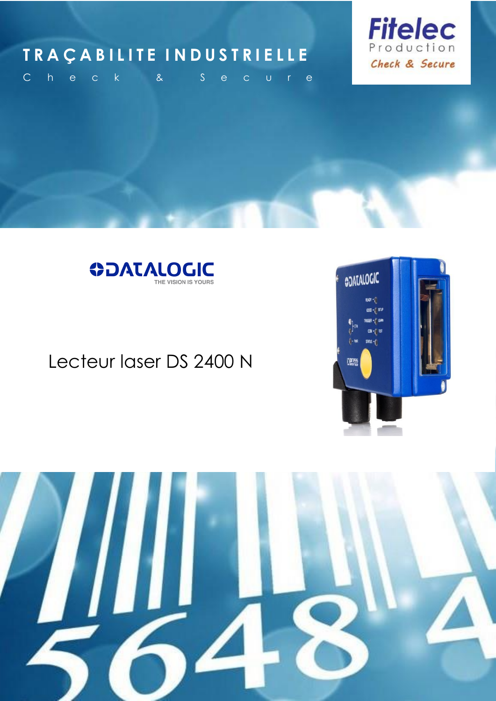### **T R A Ç A B I L I T E I N D U S T R I E L L E**



C h e c k & S e c u r e



### Lecteur laser DS 2400 N



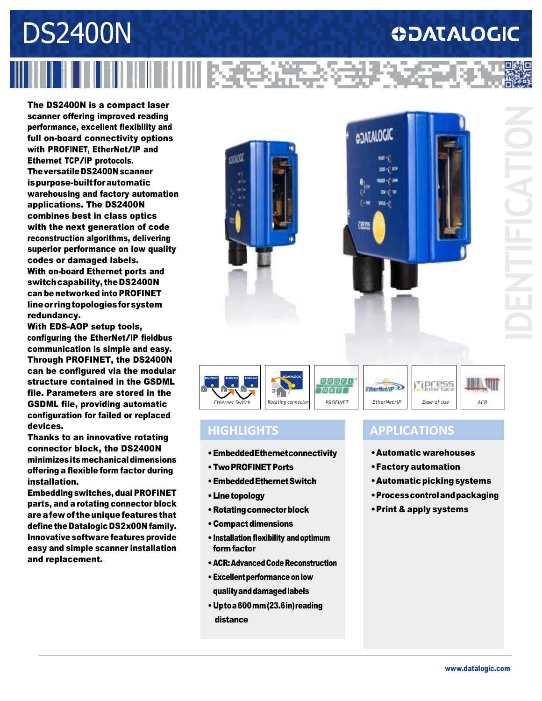# DS2400N **ODATALOGIC** IIIII I 336234

The DS2400N is a compact laser scanner offering improved reading performance, excellent flexibility and full on-board connectivity options with PROFINET, EtherNet/IP and Ethernet TCP/IP protocols. TheversatileDS2400N scanner ispurpose-built forautomatic warehousing and factory automation applications. The DS2400N combines best in class optics with the next generation of code reconstruction algorithms, delivering superior performance on low quality codes or damaged labels. With on-board Ethernet ports and switchcapability, theDS2400N can be networked into PROFINET lineor ringtopologiesforsystem redundancy.

With EDS-AOP setup tools, configuring the EtherNet/IP fieldbus communication is simple and easy. Through PROFINET, the DS2400N can be configured via the modular structure contained in the GSDML file. Parameters are stored in the GSDML file, providing automatic configuration for failed or replaced devices.

Thanks to an innovative rotating connector block, the DS2400N minimizesitsmechanicaldimensions offering a flexible form factor during installation.

Embedding switches, dual PROFINET parts, and a rotating connector block areafew of the uniquefeaturesthat define the Datalogic DS2x00N family. Innovative software features provide easy and simple scanner installation and replacement.





### **HIGHLIGHTS**

- •EmbeddedEthernetconnectivity
- •TwoPROFINETPorts
- •EmbeddedEthernetSwitch
- Line topology
- Rotating connector block
- Compact dimensions
- •Installation flexibility andoptimum formfactor
- ACR: Advanced Code Reconstruction
- Excellent performance on low qualityanddamagedlabels
- •Uptoa600mm(23.6in)reading distance

#### **APPLICATIONS**

- •Automatic warehouses
- •Factory automation
- Automatic picking systems
- •Processcontrolandpackaging
- •Print & apply systems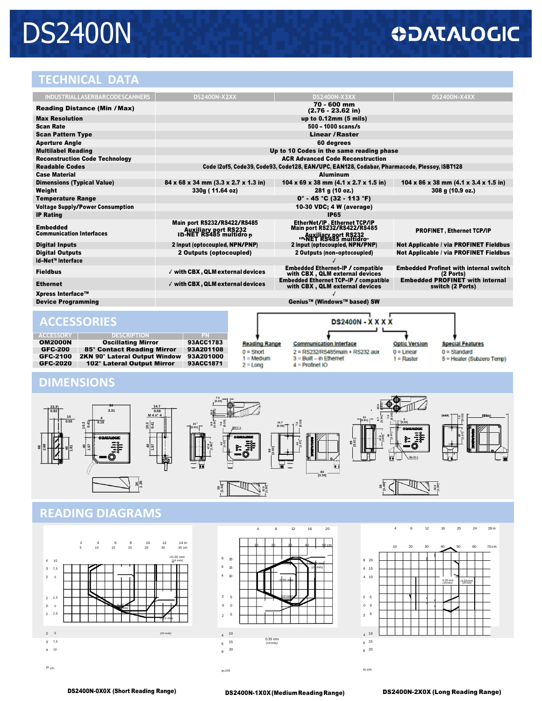# DS2400N

### **ODATALOGIC**

#### **TECHNICAL DATA**

| <b>INDUSTRIALLASERBARCODESCANNERS</b>              |                           | <b>DS2400N-X2XX</b>                                                                         | <b>DS2400N-X3XX</b>                                                                                               | <b>DS2400N-X4XX</b>                                           |  |  |  |  |
|----------------------------------------------------|---------------------------|---------------------------------------------------------------------------------------------|-------------------------------------------------------------------------------------------------------------------|---------------------------------------------------------------|--|--|--|--|
| <b>Reading Distance (Min / Max)</b>                |                           | 70 - 600 mm<br>$(2.76 - 23.62)$ in)                                                         |                                                                                                                   |                                                               |  |  |  |  |
| <b>Max Resolution</b>                              |                           | up to 0.12mm (5 mils)                                                                       |                                                                                                                   |                                                               |  |  |  |  |
| <b>Scan Rate</b>                                   |                           | $500 - 1000$ scans/s                                                                        |                                                                                                                   |                                                               |  |  |  |  |
| <b>Scan Pattern Type</b>                           |                           | <b>Linear / Raster</b>                                                                      |                                                                                                                   |                                                               |  |  |  |  |
| <b>Aperture Angle</b>                              |                           | 60 degrees                                                                                  |                                                                                                                   |                                                               |  |  |  |  |
| <b>Multilabel Reading</b>                          |                           | Up to 10 Codes in the same reading phase                                                    |                                                                                                                   |                                                               |  |  |  |  |
| <b>Reconstruction Code Technology</b>              |                           | <b>ACR Advanced Code Reconstruction</b>                                                     |                                                                                                                   |                                                               |  |  |  |  |
| <b>Readable Codes</b>                              |                           | Code I2of5, Code39, Code93, Code128, EAN/UPC, EAN128, Codabar, Pharmacode, Plessey, ISBT128 |                                                                                                                   |                                                               |  |  |  |  |
| <b>Case Material</b>                               |                           | <b>Aluminum</b>                                                                             |                                                                                                                   |                                                               |  |  |  |  |
| <b>Dimensions (Typical Value)</b>                  |                           | 84 x 68 x 34 mm (3.3 x 2.7 x 1.3 in)                                                        | 104 x 69 x 38 mm $(4.1 \times 2.7 \times 1.5)$ in                                                                 | $104 \times 86 \times 38$ mm $(4.1 \times 3.4 \times 1.5)$ in |  |  |  |  |
| Weight                                             |                           | 330g (11.64 oz)                                                                             | 281 g (10 oz.)                                                                                                    | 308 g (10.9 oz.)                                              |  |  |  |  |
| <b>Temperature Range</b>                           |                           | $0^\circ$ - 45 °C (32 - 113 °F)                                                             |                                                                                                                   |                                                               |  |  |  |  |
| <b>Voltage Supply/Power Consumption</b>            |                           | 10-30 VDC; 4 W (average)                                                                    |                                                                                                                   |                                                               |  |  |  |  |
| <b>IP Rating</b>                                   |                           | <b>IP65</b>                                                                                 |                                                                                                                   |                                                               |  |  |  |  |
| <b>Embedded</b><br><b>Communication Interfaces</b> |                           | Main port RS232/RS422/RS485<br>Auxiliary port RS232<br>ID-NET RS485 multidro p              | EtherNet/IP. Ethernet TCP/IP<br><b>Main port RS232/RS422/RS485</b><br>Auxiliary port RS232<br>-NET RS485 multidro | <b>PROFINET, Ethernet TCP/IP</b>                              |  |  |  |  |
| <b>Digital Inputs</b>                              |                           | 2 Input (optocoupled, NPN/PNP)                                                              | 2 Input (optocoupled, NPN/PNP)                                                                                    | Not Applicable / via PROFINET Fieldbus                        |  |  |  |  |
| <b>Digital Outputs</b>                             |                           | 2 Outputs (optocoupled)                                                                     | 2 Outputs (non-optocoupled)                                                                                       | Not Applicable / via PROFINET Fieldbus                        |  |  |  |  |
| Id-Net™ Interface                                  |                           |                                                                                             |                                                                                                                   |                                                               |  |  |  |  |
| <b>Fieldbus</b>                                    |                           | √ with CBX, QLM external devices                                                            | <b>Embedded Ethernet-IP / compatible</b><br>with CBX, QLM external devices                                        | <b>Embedded Profinet with internal switch</b><br>(2 Ports)    |  |  |  |  |
| <b>Ethernet</b>                                    |                           | √ with CBX, QLM external devices                                                            | <b>Embedded Ethernet TCP-IP / compatible</b><br>with CBX, QLM external devices                                    | <b>Embedded PROFINET with internal</b><br>switch (2 Ports)    |  |  |  |  |
| Xpress Interface™                                  |                           |                                                                                             |                                                                                                                   |                                                               |  |  |  |  |
| <b>Device Programming</b>                          |                           | Genius™ (Windows™ based) SW                                                                 |                                                                                                                   |                                                               |  |  |  |  |
| <b>ACCESSORIES</b>                                 |                           | <b>DS2400N - X X X X</b>                                                                    |                                                                                                                   |                                                               |  |  |  |  |
| <b>ACCESSORY</b>                                   | <b>DESCRIPTION</b>        | PN                                                                                          |                                                                                                                   |                                                               |  |  |  |  |
| <b>OM2000N</b>                                     | <b>Oscillating Mirror</b> | 93ACC1783<br><b>Reading Range</b>                                                           | <b>Communication Interface</b>                                                                                    | <b>Optic Version</b><br><b>Special Features</b>               |  |  |  |  |

| <b>OM2000N</b><br><b>GFC-200</b> | <b>Oscillating Mirror</b><br>85° Contact Reading Mirror | 93ACC1783<br>93A201108<br>93ACC1871 | <b>Reading Range</b><br>$0 =$ Short<br>$1 \equiv$ Medium<br>$2 =$ Long | <b>Communication Interface</b><br>2 = RS232/RS485main + RS232 aux<br>$3 =$ Built $-$ in Ethernet<br>$4$ = Profinet IO | <b>Optic Version</b><br>$0 =$ Linear<br>$1 =$ Raster | <b>Special Features</b><br>$0 =$ Standard<br>5 = Heater (Subzero Temp) |
|----------------------------------|---------------------------------------------------------|-------------------------------------|------------------------------------------------------------------------|-----------------------------------------------------------------------------------------------------------------------|------------------------------------------------------|------------------------------------------------------------------------|
| GFC-2100                         | 2KN 90° Lateral Output Window 93A201000                 |                                     |                                                                        |                                                                                                                       |                                                      |                                                                        |
| <b>GFC-2020</b>                  | 102° Lateral Output Mirror                              |                                     |                                                                        |                                                                                                                       |                                                      |                                                                        |

#### **DIMENSIONS**



### **READING DIAGRAMS**







in cm in cm in cm in cm in cm in cm in cm in cm in cm in cm in cm in cm in cm in cm in cm in cm in cm in cm in